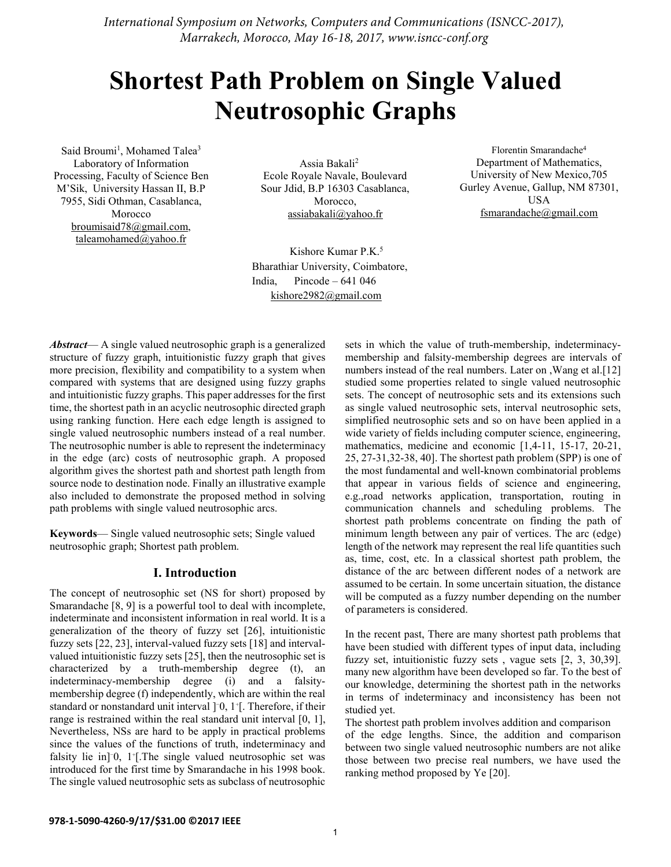*International Symposium on Networks, Computers and Communications (ISNCC-2017), Marrakech, Morocco, May 16-18, 2017, www.isncc-conf.org*

# **Shortest Path Problem on Single Valued Neutrosophic Graphs**

Said Broumi<sup>1</sup>, Mohamed Talea<sup>3</sup> Laboratory of Information Processing, Faculty of Science Ben M'Sik, University Hassan II, B.P 7955, Sidi Othman, Casablanca, Morocco broumisaid78@gmail.com, taleamohamed@yahoo.fr

 Assia Bakali2 Ecole Royale Navale, Boulevard Sour Jdid, B.P 16303 Casablanca, Morocco, assiabakali@yahoo.fr

Kishore Kumar P.K. 5 Bharathiar University, Coimbatore, India, Pincode –  $641\,046$ kishore2982@gmail.com

*Abstract*— A single valued neutrosophic graph is a generalized structure of fuzzy graph, intuitionistic fuzzy graph that gives more precision, flexibility and compatibility to a system when compared with systems that are designed using fuzzy graphs and intuitionistic fuzzy graphs. This paper addresses for the first time, the shortest path in an acyclic neutrosophic directed graph using ranking function. Here each edge length is assigned to single valued neutrosophic numbers instead of a real number. The neutrosophic number is able to represent the indeterminacy in the edge (arc) costs of neutrosophic graph. A proposed algorithm gives the shortest path and shortest path length from source node to destination node. Finally an illustrative example also included to demonstrate the proposed method in solving path problems with single valued neutrosophic arcs.

**Keywords**— Single valued neutrosophic sets; Single valued neutrosophic graph; Shortest path problem.

## **I. Introduction**

The concept of neutrosophic set (NS for short) proposed by Smarandache [8, 9] is a powerful tool to deal with incomplete, indeterminate and inconsistent information in real world. It is a generalization of the theory of fuzzy set [26], intuitionistic fuzzy sets [22, 23], interval-valued fuzzy sets [18] and intervalvalued intuitionistic fuzzy sets [25], then the neutrosophic set is characterized by a truth-membership degree (t), an indeterminacy-membership degree (i) and a falsitymembership degree (f) independently, which are within the real standard or nonstandard unit interval ]<sup>-</sup>0, 1<sup>+</sup>[. Therefore, if their range is restrained within the real standard unit interval [0, 1], Nevertheless, NSs are hard to be apply in practical problems since the values of the functions of truth, indeterminacy and falsity lie in]<sup>−</sup> 0, 1+ [.The single valued neutrosophic set was introduced for the first time by Smarandache in his 1998 book. The single valued neutrosophic sets as subclass of neutrosophic

sets in which the value of truth-membership, indeterminacymembership and falsity-membership degrees are intervals of numbers instead of the real numbers. Later on , Wang et al.<sup>[12]</sup> studied some properties related to single valued neutrosophic sets. The concept of neutrosophic sets and its extensions such as single valued neutrosophic sets, interval neutrosophic sets, simplified neutrosophic sets and so on have been applied in a wide variety of fields including computer science, engineering, mathematics, medicine and economic [1,4-11, 15-17, 20-21, 25, 27-31,32-38, 40]. The shortest path problem (SPP) is one of the most fundamental and well-known combinatorial problems that appear in various fields of science and engineering, e.g.,road networks application, transportation, routing in communication channels and scheduling problems. The shortest path problems concentrate on finding the path of minimum length between any pair of vertices. The arc (edge) length of the network may represent the real life quantities such as, time, cost, etc. In a classical shortest path problem, the distance of the arc between different nodes of a network are assumed to be certain. In some uncertain situation, the distance will be computed as a fuzzy number depending on the number of parameters is considered.

Florentin Smarandache4 Department of Mathematics, University of New Mexico,705 Gurley Avenue, Gallup, NM 87301, USA fsmarandache@gmail.com

In the recent past, There are many shortest path problems that have been studied with different types of input data, including fuzzy set, intuitionistic fuzzy sets , vague sets [2, 3, 30,39]. many new algorithm have been developed so far. To the best of our knowledge, determining the shortest path in the networks in terms of indeterminacy and inconsistency has been not studied yet.

The shortest path problem involves addition and comparison of the edge lengths. Since, the addition and comparison between two single valued neutrosophic numbers are not alike those between two precise real numbers, we have used the ranking method proposed by Ye [20].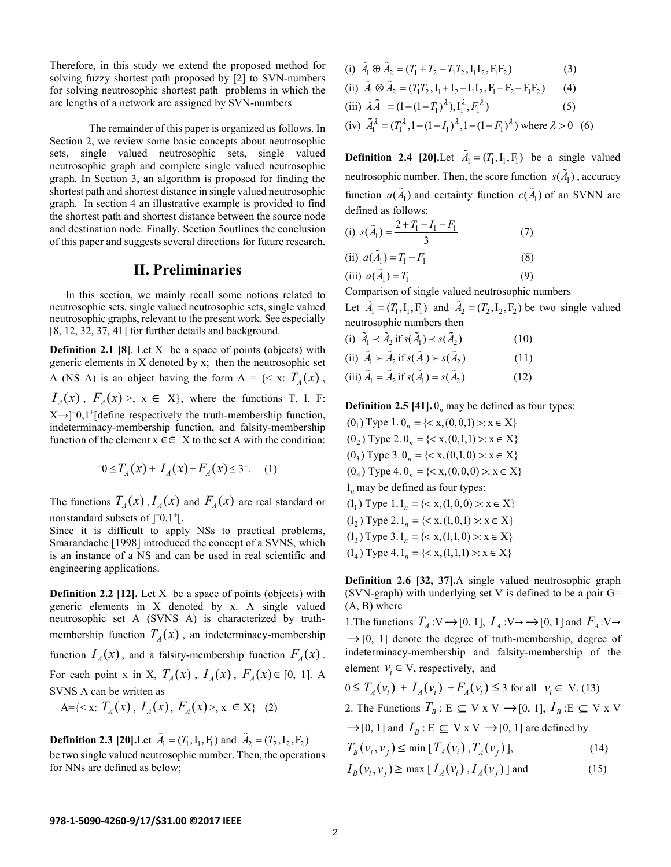Therefore, in this study we extend the proposed method for solving fuzzy shortest path proposed by [2] to SVN-numbers for solving neutrosophic shortest path problems in which the arc lengths of a network are assigned by SVN-numbers

The remainder of this paper is organized as follows. In Section 2, we review some basic concepts about neutrosophic sets, single valued neutrosophic sets, single valued neutrosophic graph and complete single valued neutrosophic graph. In Section 3, an algorithm is proposed for finding the shortest path and shortest distance in single valued neutrosophic graph. In section 4 an illustrative example is provided to find the shortest path and shortest distance between the source node and destination node. Finally, Section 5outlines the conclusion of this paper and suggests several directions for future research.

# **II. Preliminaries**

In this section, we mainly recall some notions related to neutrosophic sets, single valued neutrosophic sets, single valued neutrosophic graphs, relevant to the present work. See especially [8, 12, 32, 37, 41] for further details and background.

**Definition 2.1 [8]**. Let X be a space of points (objects) with generic elements in X denoted by x; then the neutrosophic set A (NS A) is an object having the form  $A = \{ \leq x : T_A(x) \}$ ,  $I_A(x)$ ,  $F_A(x) > x \in X$ , where the functions T, I, F:  $X \rightarrow$ [ $\degree$ -0,1<sup>+</sup>[define respectively the truth-membership function, indeterminacy-membership function, and falsity-membership function of the element  $x \in \in X$  to the set A with the condition:

$$
-0 \le T_A(x) + I_A(x) + F_A(x) \le 3^+.
$$
 (1)

The functions  $T_A(x)$ ,  $I_A(x)$  and  $F_A(x)$  are real standard or nonstandard subsets of  $]$ <sup>-</sup>0,1<sup>+</sup>[.

Since it is difficult to apply NSs to practical problems, Smarandache [1998] introduced the concept of a SVNS, which is an instance of a NS and can be used in real scientific and engineering applications.

**Definition 2.2 [12].** Let X be a space of points (objects) with generic elements in X denoted by x. A single valued neutrosophic set A (SVNS A) is characterized by truthmembership function  $T_A(x)$ , an indeterminacy-membership function  $I_A(x)$ , and a falsity-membership function  $F_A(x)$ . For each point x in X,  $T_A(x)$ ,  $I_A(x)$ ,  $F_A(x) \in [0, 1]$ . A SVNS A can be written as

$$
A = \{ \langle x : T_A(x), I_A(x), F_A(x) \rangle, x \in X \} \tag{2}
$$

**Definition 2.3 [20].**Let  $\tilde{A}_1 = (T_1, I_1, F_1)$  and  $\tilde{A}_2 = (T_2, I_2, F_2)$ be two single valued neutrosophic number. Then, the operations for NNs are defined as below;

(i) 
$$
\tilde{A}_1 \oplus \tilde{A}_2 = (T_1 + T_2 - T_1 T_2, I_1 I_2, F_1 F_2)
$$
 (3)  
\n(ii)  $\tilde{A}_1 \otimes \tilde{A}_2 = (T_1 T_2, I_1 + I_2 - I_1 I_2, F_1 + F_2 - F_1 F_2)$  (4)  
\n(iii)  $\lambda \tilde{A} = (1 - (1 - T_1)^{\lambda}), I_1^{\lambda}, F_1^{\lambda}$  (5)  
\n(iv)  $\tilde{A}_1^{\lambda} = (T_1^{\lambda}, 1 - (1 - I_1)^{\lambda}, 1 - (1 - F_1)^{\lambda})$  where  $\lambda > 0$  (6)

**Definition 2.4 [20].**Let  $\tilde{A}_1 = (T_1, I_1, F_1)$  be a single valued neutrosophic number. Then, the score function  $s(\tilde{A}_1)$ , accuracy function  $a(\tilde{A}_1)$  and certainty function  $c(\tilde{A}_1)$  of an SVNN are defined as follows:

(i) 
$$
s(\tilde{A}_1) = \frac{2 + T_1 - I_1 - F_1}{3}
$$
 (7)

(ii) 
$$
a(\tilde{A}_1) = T_1 - F_1
$$
 (8)

(iii)  $a(A_1) = T_1$  (9)

Comparison of single valued neutrosophic numbers Let  $\tilde{A}_1 = (T_1, I_1, F_1)$  and  $\tilde{A}_2 = (T_2, I_2, F_2)$  be two single valued neutrosophic numbers then

(i) 
$$
\tilde{A}_1 \times \tilde{A}_2
$$
 if  $s(\tilde{A}_1) \times s(\tilde{A}_2)$  (10)  
\n(ii)  $\tilde{A}_1 \times \tilde{A}_2$  if  $s(\tilde{A}_1) \times s(\tilde{A}_2)$  (11)  
\n(iii)  $\tilde{A}_1 = \tilde{A}_2$  if  $s(\tilde{A}_1) = s(\tilde{A}_2)$  (12)

**Definition 2.5 [41].**  $0<sub>n</sub>$  may be defined as four types:

 $(0_1)$  Type 1.  $0_n = \{ \langle x, (0,0,1) \rangle : x \in X \}$  $(0, 0)$  Type 2.  $0_n = \{ \langle x, (0,1,1) \rangle : x \in X \}$  $(0_3)$  Type 3.  $0_n = \{ \langle x, (0,1,0) \rangle : x \in X \}$  $(0_4)$  Type 4.  $0_n = \{ \langle x, (0,0,0) \rangle : x \in X \}$ 1*<sup>n</sup>* may be defined as four types:  $(1_1)$  Type  $1 \cdot 1_n = \{ \langle x, (1,0,0) \rangle : x \in X \}$  $(1, 0)$  Type 2.1<sub>n</sub> = {< x,(1,0,1) >  $x \in X$ }  $(1_3)$  Type 3.1<sub>n</sub> = {< x,(1,1,0) >  $x \in X$ }  $(1_4)$  Type 4.1<sub>n</sub> =  $\{< x,(1,1,1) >: x \in X\}$ 

**Definition 2.6 [32, 37].**A single valued neutrosophic graph (SVN-graph) with underlying set V is defined to be a pair G= (A, B) where

1. The functions  $T_A: V \to [0, 1], I_A: V \to [0, 1]$  and  $F_A: V \to [0, 1]$  $\rightarrow$  [0, 1] denote the degree of truth-membership, degree of indeterminacy-membership and falsity-membership of the element  $v_i \in V$ , respectively, and

$$
0 \le T_A(\nu_i) + I_A(\nu_i) + F_A(\nu_i) \le 3 \text{ for all } \nu_i \in V. (13)
$$

2. The Functions  $T_B: E \subseteq V \times V \rightarrow [0, 1], I_B: E \subseteq V \times V$ 

 $\rightarrow$  [0, 1] and  $I_B$ : E  $\subseteq$  V x V  $\rightarrow$  [0, 1] are defined by

$$
T_B(v_i, v_j) \le \min [T_A(v_i), T_A(v_j)], \qquad (14)
$$

$$
I_B(v_i, v_j) \ge \max [I_A(v_i), I_A(v_j)] \text{ and } (15)
$$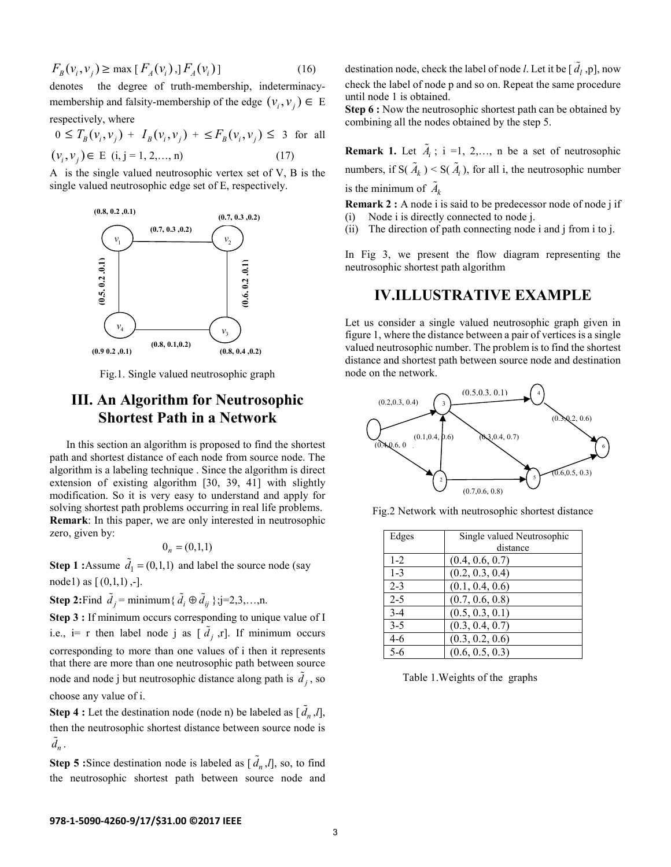$$
F_B(v_i, v_j) \ge \max [F_A(v_i),] F_A(v_i)] \tag{16}
$$

denotes the degree of truth-membership, indeterminacymembership and falsity-membership of the edge  $(v_i, v_j) \in E$ 

respectively, where

$$
0 \le T_B(\nu_i, \nu_j) + I_B(\nu_i, \nu_j) + \le F_B(\nu_i, \nu_j) \le 3 \text{ for all } (\nu_i, \nu_j) \in E \text{ (i, j = 1, 2, ..., n)}
$$
 (17)

A is the single valued neutrosophic vertex set of V, B is the single valued neutrosophic edge set of E, respectively.



Fig.1. Single valued neutrosophic graph

# **III. An Algorithm for Neutrosophic Shortest Path in a Network**

 In this section an algorithm is proposed to find the shortest path and shortest distance of each node from source node. The algorithm is a labeling technique . Since the algorithm is direct extension of existing algorithm [30, 39, 41] with slightly modification. So it is very easy to understand and apply for solving shortest path problems occurring in real life problems. **Remark**: In this paper, we are only interested in neutrosophic zero, given by:

$$
0_n = (0,1,1)
$$

**Step 1 :**Assume  $\tilde{d}_1 = (0,1,1)$  and label the source node (say node1) as  $[ (0,1,1), -]$ .

**Step 2:**Find  $\tilde{d}_j$  = minimum{ $\tilde{d}_i \oplus \tilde{d}_{ij}$ };j=2,3,...,n.

**Step 3 :** If minimum occurs corresponding to unique value of I i.e., i= r then label node j as  $[\tilde{d}_j, r]$ . If minimum occurs corresponding to more than one values of i then it represents that there are more than one neutrosophic path between source node and node j but neutrosophic distance along path is  $\tilde{d}_j$ , so choose any value of i.

**Step 4 :** Let the destination node (node n) be labeled as  $[\tilde{d}_n, l]$ , then the neutrosophic shortest distance between source node is  $\tilde{d}_n$ .

**Step 5** :Since destination node is labeled as  $[\tilde{d}_n, l]$ , so, to find the neutrosophic shortest path between source node and

destination node, check the label of node *l*. Let it be  $[\tilde{d}_l, p]$ , now check the label of node p and so on. Repeat the same procedure until node 1 is obtained.

**Step 6 :** Now the neutrosophic shortest path can be obtained by combining all the nodes obtained by the step 5.

**Remark 1.** Let  $\tilde{A}_i$ ; i =1, 2,..., n be a set of neutrosophic numbers, if  $S(\tilde{A}_k) \le S(\tilde{A}_i)$ , for all i, the neutrosophic number is the minimum of  $\tilde{A}_k$ 

**Remark 2 :** A node i is said to be predecessor node of node j if (i) Node i is directly connected to node j.

(ii) The direction of path connecting node i and j from i to j.

In Fig 3, we present the flow diagram representing the neutrosophic shortest path algorithm

# **IV.ILLUSTRATIVE EXAMPLE**

Let us consider a single valued neutrosophic graph given in figure 1, where the distance between a pair of vertices is a single valued neutrosophic number. The problem is to find the shortest distance and shortest path between source node and destination node on the network.



Fig.2 Network with neutrosophic shortest distance

| Edges   | Single valued Neutrosophic |
|---------|----------------------------|
|         | distance                   |
| $1-2$   | (0.4, 0.6, 0.7)            |
| $1 - 3$ | (0.2, 0.3, 0.4)            |
| $2 - 3$ | (0.1, 0.4, 0.6)            |
| $2 - 5$ | (0.7, 0.6, 0.8)            |
| $3-4$   | (0.5, 0.3, 0.1)            |
| $3 - 5$ | (0.3, 0.4, 0.7)            |
| 4-6     | (0.3, 0.2, 0.6)            |
| $5 - 6$ | (0.6, 0.5, 0.3)            |

Table 1.Weights of the graphs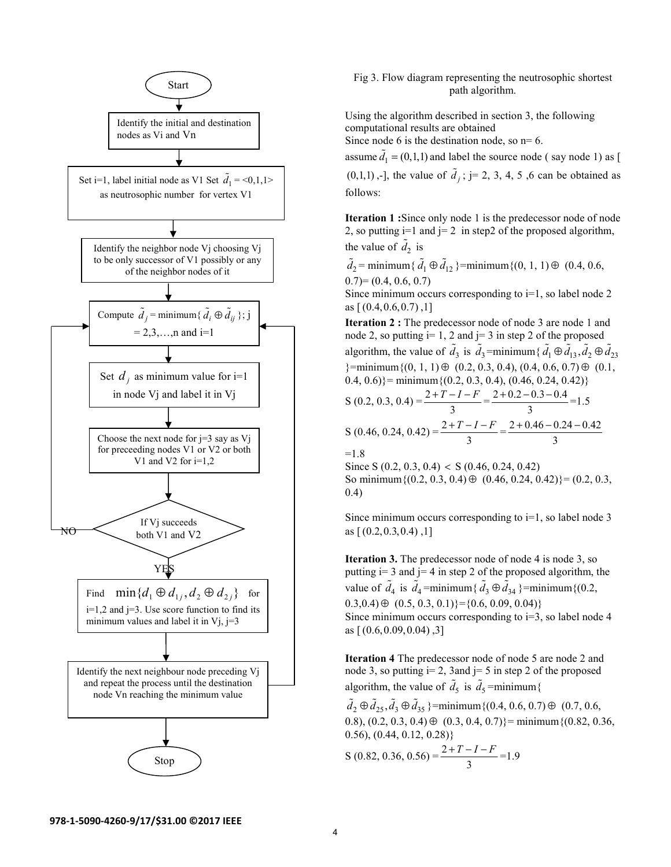

## Fig 3. Flow diagram representing the neutrosophic shortest path algorithm.

Using the algorithm described in section 3, the following computational results are obtained

Since node 6 is the destination node, so  $n=6$ .

assume  $\tilde{d}_1$  = (0,1,1) and label the source node (say node 1) as [

 $(0,1,1)$ ,-], the value of  $\tilde{d}_j$ ; j= 2, 3, 4, 5, 6 can be obtained as follows:

**Iteration 1 :**Since only node 1 is the predecessor node of node 2, so putting  $i=1$  and  $i=2$  in step2 of the proposed algorithm, the value of  $\tilde{d}_2$  is

 $\tilde{d}_2$  = minimum {  $\tilde{d}_1 \oplus \tilde{d}_{12}$  }=minimum {(0, 1, 1)  $\oplus$  (0.4, 0.6,  $(0.7)=(0.4, 0.6, 0.7)$ 

Since minimum occurs corresponding to  $i=1$ , so label node 2 as  $[(0.4, 0.6, 0.7), 1]$ 

**Iteration 2 :** The predecessor node of node 3 are node 1 and node 2, so putting  $i=1$ , 2 and  $j=3$  in step 2 of the proposed algorithm, the value of  $\tilde{d}_3$  is  $\tilde{d}_3$ =minimum{ $\tilde{d}_1 \oplus \tilde{d}_{13}$ ,  $\tilde{d}_2 \oplus \tilde{d}_{23}$  $\{\text{minimum}\{(0, 1, 1)\oplus (0.2, 0.3, 0.4), (0.4, 0.6, 0.7)\oplus (0.1, 0.6)\}$  $(0.4, 0.6)$  = minimum { $(0.2, 0.3, 0.4)$ ,  $(0.46, 0.24, 0.42)$ }

S (0.2, 0.3, 0.4) = 
$$
\frac{2+T-I-F}{3} = \frac{2+0.2-0.3-0.4}{3} = 1.5
$$
  
\nS (0.46, 0.24, 0.42) = 
$$
\frac{2+T-I-F}{3} = \frac{2+0.46-0.24-0.42}{3}
$$
  
\n=1.8  
\nSince S (0.2, 0.3, 0.4) < S (0.46, 0.24, 0.42)

So minimum $\{(0.2, 0.3, 0.4) \oplus (0.46, 0.24, 0.42)\} = (0.2, 0.3, 0.4)$ 0.4)

Since minimum occurs corresponding to  $i=1$ , so label node 3 as  $[(0.2, 0.3, 0.4), 1]$ 

**Iteration 3.** The predecessor node of node 4 is node 3, so putting  $i=3$  and  $j=4$  in step 2 of the proposed algorithm, the value of  $\tilde{d}_4$  is  $\tilde{d}_4$ =minimum{ $\tilde{d}_3 \oplus \tilde{d}_{34}$ }=minimum{(0.2,  $(0.3,0.4) \oplus (0.5, 0.3, 0.1)$ } = {0.6, 0.09, 0.04)} Since minimum occurs corresponding to  $i=3$ , so label node 4 as  $[(0.6, 0.09, 0.04), 3]$ 

**Iteration 4** The predecessor node of node 5 are node 2 and node 3, so putting  $i=2$ , 3 and  $i=5$  in step 2 of the proposed algorithm, the value of  $\tilde{d}_5$  is  $\tilde{d}_5$  =minimum{

 $\tilde{d}_2 \oplus \tilde{d}_{25}, \tilde{d}_3 \oplus \tilde{d}_{35}$ }=minimum{(0.4, 0.6, 0.7)  $\oplus$  (0.7, 0.6, 0.8),  $(0.2, 0.3, 0.4) \oplus (0.3, 0.4, 0.7)$ } = minimum { $(0.82, 0.36, 0.4)$  $(0.56)$ ,  $(0.44, 0.12, 0.28)$ 

$$
S(0.82, 0.36, 0.56) = \frac{2 + T - I - F}{3} = 1.9
$$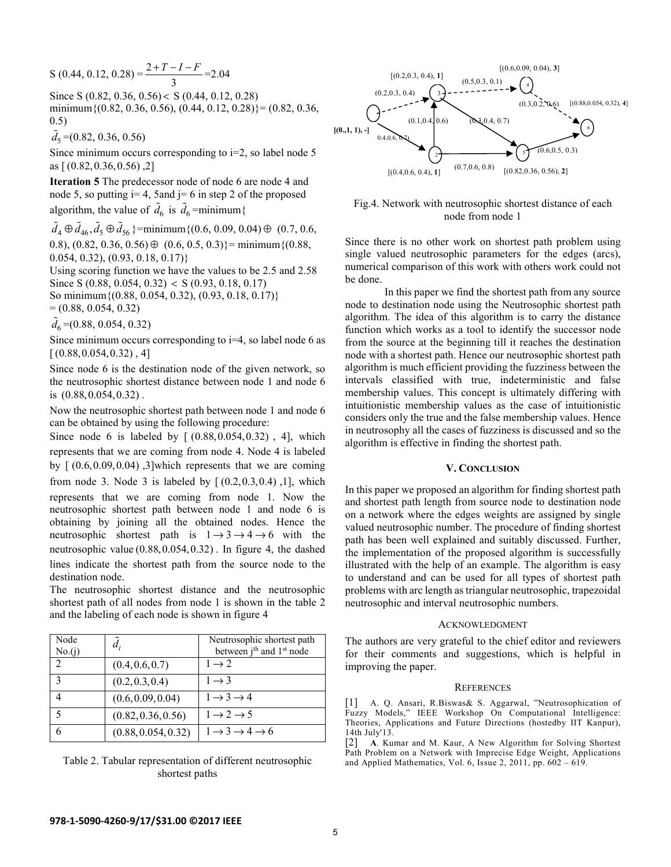$$
S(0.44, 0.12, 0.28) = \frac{2 + T - I - F}{3} = 2.04
$$

Since S (0.82, 0.36, 0.56) < S (0.44, 0.12, 0.28) minimum $\{(0.82, 0.36, 0.56), (0.44, 0.12, 0.28)\} = (0.82, 0.36,$ 0.5)

 $\tilde{d}_5 = (0.82, 0.36, 0.56)$ 

Since minimum occurs corresponding to  $i=2$ , so label node 5 as [ (0.82,0.36,0.56) ,2]

**Iteration 5** The predecessor node of node 6 are node 4 and node 5, so putting  $i=4$ , 5 and  $j=6$  in step 2 of the proposed algorithm, the value of  $\tilde{d}_6$  is  $\tilde{d}_6$  =minimum{

 $\tilde{d}_4 \oplus \tilde{d}_{46}, \tilde{d}_5 \oplus \tilde{d}_{56}$ }=minimum{(0.6, 0.09, 0.04)  $\oplus$  (0.7, 0.6, 0.8),  $(0.82, 0.36, 0.56) \oplus (0.6, 0.5, 0.3)$ } = minimum { $(0.88, 0.5, 0.3)$ } 0.054, 0.32), (0.93, 0.18, 0.17)}

Using scoring function we have the values to be 2.5 and 2.58 Since S (0.88, 0.054, 0.32) < S (0.93, 0.18, 0.17) So minimum{(0.88, 0.054, 0.32), (0.93, 0.18, 0.17)}  $= (0.88, 0.054, 0.32)$ 

 $\tilde{d}_6$  =(0.88, 0.054, 0.32)

Since minimum occurs corresponding to i=4, so label node 6 as  $[(0.88, 0.054, 0.32), 4]$ 

Since node 6 is the destination node of the given network, so the neutrosophic shortest distance between node 1 and node 6 is (0.88,0.054,0.32) .

Now the neutrosophic shortest path between node 1 and node 6 can be obtained by using the following procedure:

Since node 6 is labeled by  $[(0.88, 0.054, 0.32)$ , 4], which represents that we are coming from node 4. Node 4 is labeled by  $[(0.6, 0.09, 0.04), 3]$  which represents that we are coming from node 3. Node 3 is labeled by  $[(0.2, 0.3, 0.4), 1]$ , which represents that we are coming from node 1. Now the neutrosophic shortest path between node 1 and node 6 is obtaining by joining all the obtained nodes. Hence the neutrosophic shortest path is  $1 \rightarrow 3 \rightarrow 4 \rightarrow 6$  with the neutrosophic value (0.88,0.054,0.32) . In figure 4, the dashed lines indicate the shortest path from the source node to the destination node.

The neutrosophic shortest distance and the neutrosophic shortest path of all nodes from node 1 is shown in the table 2 and the labeling of each node is shown in figure 4

| Node<br>No.(j) | $d_i$               | Neutrosophic shortest path<br>between j <sup>th</sup> and 1 <sup>st</sup> node |
|----------------|---------------------|--------------------------------------------------------------------------------|
| $\mathcal{L}$  | (0.4, 0.6, 0.7)     | $1 \rightarrow 2$                                                              |
| 3              | (0.2, 0.3, 0.4)     | $1 \rightarrow 3$                                                              |
|                | (0.6, 0.09, 0.04)   | $1 \rightarrow 3 \rightarrow 4$                                                |
| 5              | (0.82, 0.36, 0.56)  | $1 \rightarrow 2 \rightarrow 5$                                                |
| 6              | (0.88, 0.054, 0.32) | $1 \rightarrow 3 \rightarrow 4 \rightarrow 6$                                  |

Table 2. Tabular representation of different neutrosophic shortest paths



## Fig.4. Network with neutrosophic shortest distance of each node from node 1

Since there is no other work on shortest path problem using single valued neutrosophic parameters for the edges (arcs), numerical comparison of this work with others work could not be done.

In this paper we find the shortest path from any source node to destination node using the Neutrosophic shortest path algorithm. The idea of this algorithm is to carry the distance function which works as a tool to identify the successor node from the source at the beginning till it reaches the destination node with a shortest path. Hence our neutrosophic shortest path algorithm is much efficient providing the fuzziness between the intervals classified with true, indeterministic and false membership values. This concept is ultimately differing with intuitionistic membership values as the case of intuitionistic considers only the true and the false membership values. Hence in neutrosophy all the cases of fuzziness is discussed and so the algorithm is effective in finding the shortest path.

## **V. CONCLUSION**

In this paper we proposed an algorithm for finding shortest path and shortest path length from source node to destination node on a network where the edges weights are assigned by single valued neutrosophic number. The procedure of finding shortest path has been well explained and suitably discussed. Further, the implementation of the proposed algorithm is successfully illustrated with the help of an example. The algorithm is easy to understand and can be used for all types of shortest path problems with arc length as triangular neutrosophic, trapezoidal neutrosophic and interval neutrosophic numbers.

#### ACKNOWLEDGMENT

The authors are very grateful to the chief editor and reviewers for their comments and suggestions, which is helpful in improving the paper.

#### **REFERENCES**

[1] A. Q. Ansari, R.Biswas& S. Aggarwal, "Neutrosophication of Fuzzy Models," IEEE Workshop On Computational Intelligence: Theories, Applications and Future Directions (hostedby IIT Kanpur), 14th July'13.

[2] **A**. Kumar and M. Kaur, A New Algorithm for Solving Shortest Path Problem on a Network with Imprecise Edge Weight, Applications and Applied Mathematics, Vol. 6, Issue 2, 2011, pp. 602 – 619.